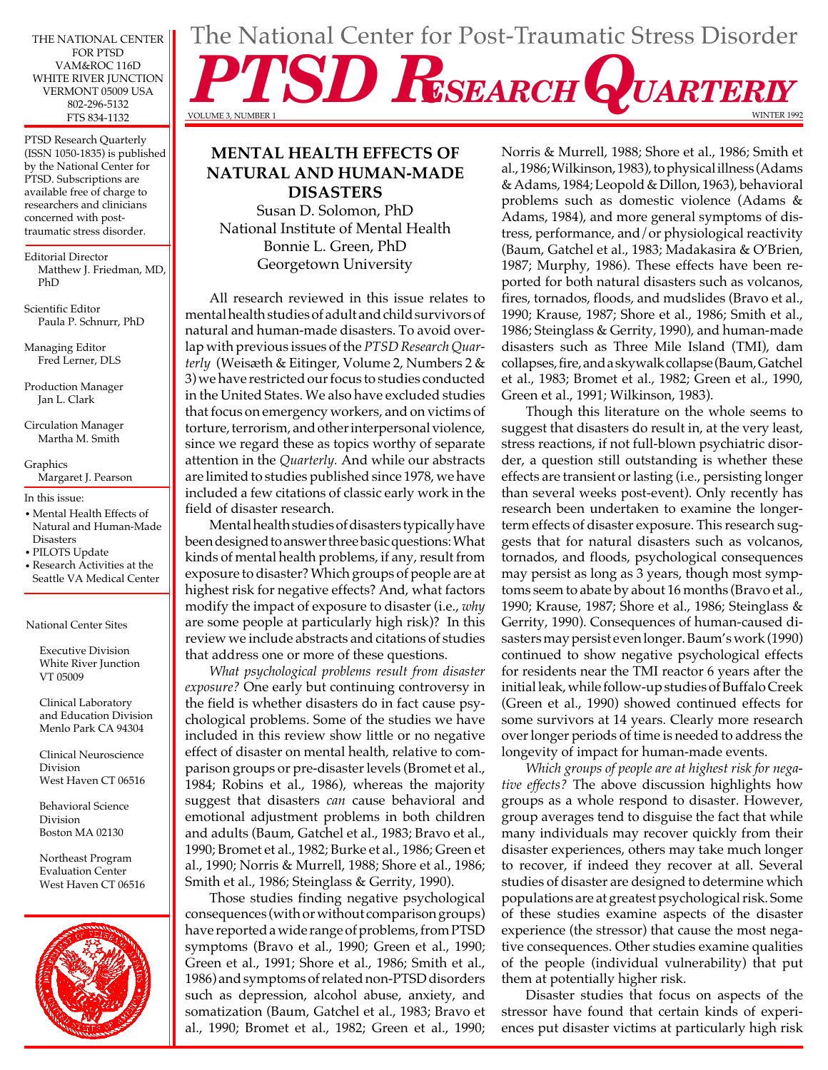THE NATIONAL CENTER FOR PTSD VAM&ROC 116D WHITE RIVER JUNCTION VERMONT 05009 USA 802-296-5132 FTS 834-1132

PTSD Research Quarterly (ISSN 1050-1835) is published by the National Center for PTSD. Subscriptions are available free of charge to researchers and clinicians concerned with posttraumatic stress disorder.

Editorial Director Matthew J. Friedman, MD, PhD

Scientific Editor Paula P. Schnurr, PhD

Managing Editor Fred Lerner, DLS

Production Manager Jan L. Clark

Circulation Manager Martha M. Smith

Graphics Margaret J. Pearson

In this issue:

- Mental Health Effects of Natural and Human-Made **Disasters**
- PILOTS Update
- Research Activities at the Seattle VA Medical Center

National Center Sites

Executive Division White River Junction VT 05009

Clinical Laboratory and Education Division Menlo Park CA 94304

Clinical Neuroscience Division West Haven CT 06516

Behavioral Science Division Boston MA 02130

Northeast Program Evaluation Center West Haven CT 06516



# **MENTAL HEALTH EFFECTS OF NATURAL AND HUMAN-MADE DISASTERS**

Susan D. Solomon, PhD National Institute of Mental Health Bonnie L. Green, PhD Georgetown University

All research reviewed in this issue relates to mental health studies of adult and child survivors of natural and human-made disasters. To avoid overlap with previous issues of the *PTSD Research Quarterly* (Weisæth & Eitinger, Volume 2, Numbers 2 & 3) we have restricted our focus to studies conducted in the United States. We also have excluded studies that focus on emergency workers, and on victims of torture, terrorism, and other interpersonal violence, since we regard these as topics worthy of separate attention in the *Quarterly.* And while our abstracts are limited to studies published since 1978, we have included a few citations of classic early work in the field of disaster research.

Mental health studies of disasters typically have been designed to answer three basic questions: What kinds of mental health problems, if any, result from exposure to disaster? Which groups of people are at highest risk for negative effects? And, what factors modify the impact of exposure to disaster (i.e., *why*  are some people at particularly high risk)? In this review we include abstracts and citations of studies that address one or more of these questions.

*What psychological problems result from disaster exposure?* One early but continuing controversy in the field is whether disasters do in fact cause psychological problems. Some of the studies we have included in this review show little or no negative effect of disaster on mental health, relative to comparison groups or pre-disaster levels (Bromet et al., 1984; Robins et al., 1986), whereas the majority suggest that disasters *can* cause behavioral and emotional adjustment problems in both children and adults (Baum, Gatchel et al., 1983; Bravo et al., 1990; Bromet et al., 1982; Burke et al., 1986; Green et al., 1990; Norris & Murrell, 1988; Shore et al., 1986; Smith et al., 1986; Steinglass & Gerrity, 1990).

Those studies finding negative psychological consequences (with or without comparison groups) have reported a wide range of problems, from PTSD symptoms (Bravo et al., 1990; Green et al., 1990; Green et al., 1991; Shore et al., 1986; Smith et al., 1986) and symptoms of related non-PTSD disorders such as depression, alcohol abuse, anxiety, and somatization (Baum, Gatchel et al., 1983; Bravo et al., 1990; Bromet et al., 1982; Green et al., 1990;

# The National Center for Post-Traumatic Stress Disorder SD RESEARCH QUARTERLY VOLUME 3, NUMBER 1

Norris & Murrell, 1988; Shore et al., 1986; Smith et al., 1986; Wilkinson, 1983), to physical illness (Adams & Adams, 1984; Leopold & Dillon, 1963), behavioral problems such as domestic violence (Adams & Adams, 1984), and more general symptoms of distress, performance, and/or physiological reactivity (Baum, Gatchel et al., 1983; Madakasira & O'Brien, 1987; Murphy, 1986). These effects have been reported for both natural disasters such as volcanos, fires, tornados, floods, and mudslides (Bravo et al., 1990; Krause, 1987; Shore et al., 1986; Smith et al., 1986; Steinglass & Gerrity, 1990), and human-made disasters such as Three Mile Island (TMI), dam collapses, fire, and a skywalk collapse (Baum, Gatchel et al., 1983; Bromet et al., 1982; Green et al., 1990, Green et al., 1991; Wilkinson, 1983).

Though this literature on the whole seems to suggest that disasters do result in, at the very least, stress reactions, if not full-blown psychiatric disorder, a question still outstanding is whether these effects are transient or lasting (i.e., persisting longer than several weeks post-event). Only recently has research been undertaken to examine the longerterm effects of disaster exposure. This research suggests that for natural disasters such as volcanos, tornados, and floods, psychological consequences may persist as long as 3 years, though most symptoms seem to abate by about 16 months (Bravo et al., 1990; Krause, 1987; Shore et al., 1986; Steinglass & Gerrity, 1990). Consequences of human-caused disasters may persist even longer. Baum's work (1990) continued to show negative psychological effects for residents near the TMI reactor 6 years after the initial leak, while follow-up studies of Buffalo Creek (Green et al., 1990) showed continued effects for some survivors at 14 years. Clearly more research over longer periods of time is needed to address the longevity of impact for human-made events.

*Which groups of people are at highest risk for negative effects?* The above discussion highlights how groups as a whole respond to disaster. However, group averages tend to disguise the fact that while many individuals may recover quickly from their disaster experiences, others may take much longer to recover, if indeed they recover at all. Several studies of disaster are designed to determine which populations are at greatest psychological risk. Some of these studies examine aspects of the disaster experience (the stressor) that cause the most negative consequences. Other studies examine qualities of the people (individual vulnerability) that put them at potentially higher risk.

Disaster studies that focus on aspects of the stressor have found that certain kinds of experiences put disaster victims at particularly high risk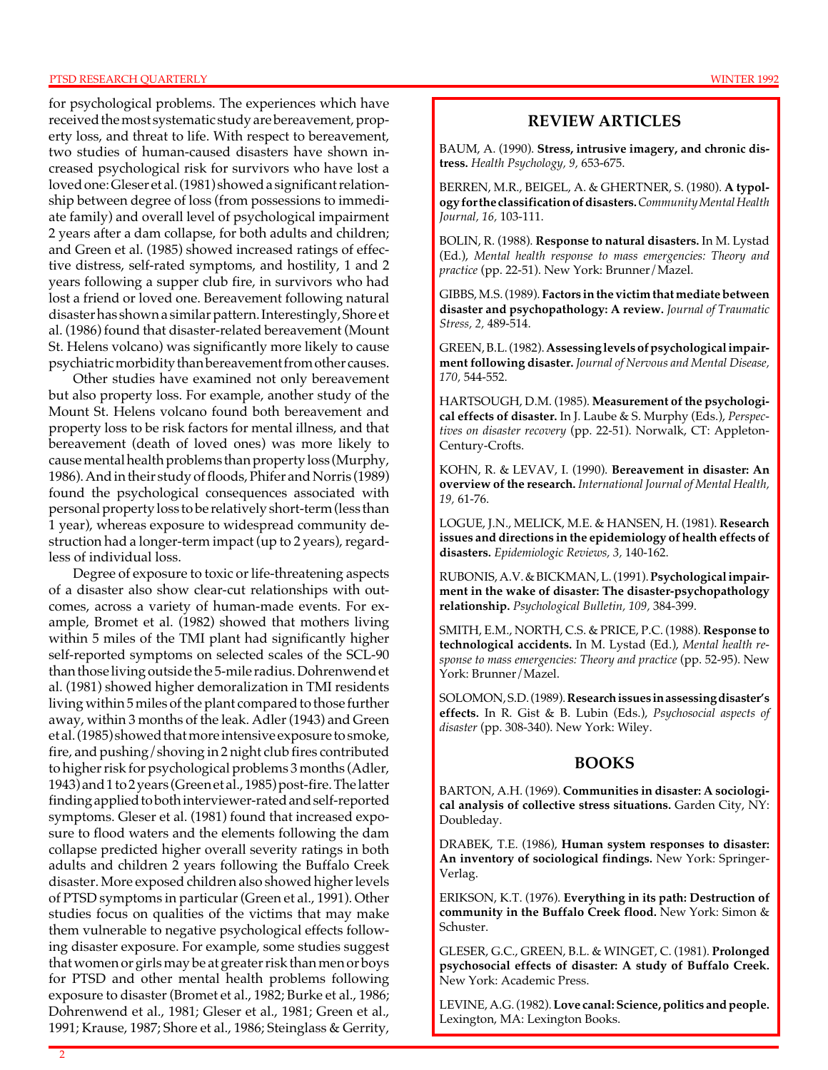#### PTSD RESEARCH QUARTERLY WINTER 1992

for psychological problems. The experiences which have received the most systematic study are bereavement, property loss, and threat to life. With respect to bereavement, two studies of human-caused disasters have shown increased psychological risk for survivors who have lost a loved one: Gleser et al. (1981) showed a significant relationship between degree of loss (from possessions to immediate family) and overall level of psychological impairment 2 years after a dam collapse, for both adults and children; and Green et al. (1985) showed increased ratings of effective distress, self-rated symptoms, and hostility, 1 and 2 years following a supper club fire, in survivors who had lost a friend or loved one. Bereavement following natural disaster has shown a similar pattern. Interestingly, Shore et al. (1986) found that disaster-related bereavement (Mount St. Helens volcano) was significantly more likely to cause psychiatric morbidity than bereavement from other causes.

Other studies have examined not only bereavement but also property loss. For example, another study of the Mount St. Helens volcano found both bereavement and property loss to be risk factors for mental illness, and that bereavement (death of loved ones) was more likely to cause mental health problems than property loss (Murphy, 1986). And in their study of floods, Phifer and Norris (1989) found the psychological consequences associated with personal property loss to be relatively short-term (less than 1 year), whereas exposure to widespread community destruction had a longer-term impact (up to 2 years), regardless of individual loss.

Degree of exposure to toxic or life-threatening aspects of a disaster also show clear-cut relationships with outcomes, across a variety of human-made events. For example, Bromet et al. (1982) showed that mothers living within 5 miles of the TMI plant had significantly higher self-reported symptoms on selected scales of the SCL-90 than those living outside the 5-mile radius. Dohrenwend et al. (1981) showed higher demoralization in TMI residents living within 5 miles of the plant compared to those further away, within 3 months of the leak. Adler (1943) and Green et al. (1985) showed that more intensive exposure to smoke, fire, and pushing/shoving in 2 night club fires contributed to higher risk for psychological problems 3 months (Adler, 1943) and 1 to 2 years (Green et al., 1985) post-fire. The latter finding applied to both interviewer-rated and self-reported symptoms. Gleser et al. (1981) found that increased exposure to flood waters and the elements following the dam collapse predicted higher overall severity ratings in both adults and children 2 years following the Buffalo Creek disaster. More exposed children also showed higher levels of PTSD symptoms in particular (Green et al., 1991). Other studies focus on qualities of the victims that may make them vulnerable to negative psychological effects following disaster exposure. For example, some studies suggest that women or girls may be at greater risk than men or boys for PTSD and other mental health problems following exposure to disaster (Bromet et al., 1982; Burke et al., 1986; Dohrenwend et al., 1981; Gleser et al., 1981; Green et al., 1991; Krause, 1987; Shore et al., 1986; Steinglass & Gerrity,

# **REVIEW ARTICLES**

BAUM, A. (1990). **Stress, intrusive imagery, and chronic distress.** *Health Psychology, 9,* 653-675.

BERREN, M.R., BEIGEL, A. & GHERTNER, S. (1980). **A typology for the classification of disasters.** *Community Mental Health Journal, 16,* 103-111.

BOLIN, R. (1988). **Response to natural disasters.** In M. Lystad (Ed.), *Mental health response to mass emergencies: Theory and practice* (pp. 22-51). New York: Brunner/Mazel.

GIBBS, M.S. (1989). **Factors in the victim that mediate between disaster and psychopathology: A review.** *Journal of Traumatic Stress, 2,* 489-514.

GREEN, B.L. (1982). **Assessing levels of psychological impairment following disaster.** *Journal of Nervous and Mental Disease, 170,* 544-552.

HARTSOUGH, D.M. (1985). **Measurement of the psychological effects of disaster.** In J. Laube & S. Murphy (Eds.), *Perspectives on disaster recovery* (pp. 22-51). Norwalk, CT: Appleton-Century-Crofts.

KOHN, R. & LEVAV, I. (1990). **Bereavement in disaster: An overview of the research.** *International Journal of Mental Health, 19,* 61-76.

LOGUE, J.N., MELICK, M.E. & HANSEN, H. (1981). **Research issues and directions in the epidemiology of health effects of disasters.** *Epidemiologic Reviews, 3,* 140-162.

RUBONIS, A.V. & BICKMAN, L. (1991). **Psychological impairment in the wake of disaster: The disaster-psychopathology relationship.** *Psychological Bulletin, 109,* 384-399.

SMITH, E.M., NORTH, C.S. & PRICE, P.C. (1988). **Response to technological accidents.** In M. Lystad (Ed.), *Mental health response to mass emergencies: Theory and practice* (pp. 52-95). New York: Brunner/Mazel.

SOLOMON, S.D. (1989). **Research issues in assessing disaster's effects.** In R. Gist & B. Lubin (Eds.), *Psychosocial aspects of disaster* (pp. 308-340). New York: Wiley.

# **BOOKS**

BARTON, A.H. (1969). **Communities in disaster: A sociological analysis of collective stress situations.** Garden City, NY: Doubleday.

DRABEK, T.E. (1986), **Human system responses to disaster: An inventory of sociological findings.** New York: Springer-Verlag.

ERIKSON, K.T. (1976). **Everything in its path: Destruction of community in the Buffalo Creek flood.** New York: Simon & Schuster.

GLESER, G.C., GREEN, B.L. & WINGET, C. (1981). **Prolonged psychosocial effects of disaster: A study of Buffalo Creek.**  New York: Academic Press.

LEVINE, A.G. (1982). **Love canal: Science, politics and people.**  Lexington, MA: Lexington Books.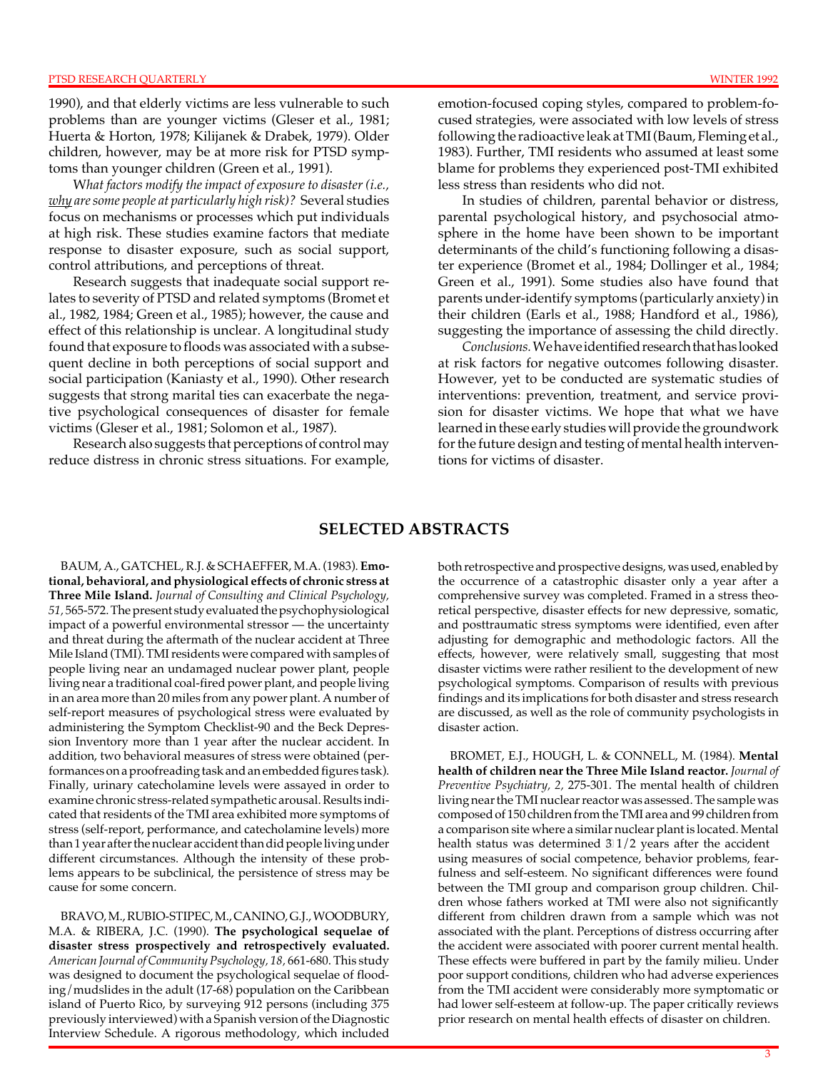1990), and that elderly victims are less vulnerable to such problems than are younger victims (Gleser et al., 1981; Huerta & Horton, 1978; Kilijanek & Drabek, 1979). Older children, however, may be at more risk for PTSD symptoms than younger children (Green et al., 1991).

W*hat factors modify the impact of exposure to disaster (i.e., why are some people at particularly high risk)?* Several studies focus on mechanisms or processes which put individuals at high risk. These studies examine factors that mediate response to disaster exposure, such as social support, control attributions, and perceptions of threat.

Research suggests that inadequate social support relates to severity of PTSD and related symptoms (Bromet et al., 1982, 1984; Green et al., 1985); however, the cause and effect of this relationship is unclear. A longitudinal study found that exposure to floods was associated with a subsequent decline in both perceptions of social support and social participation (Kaniasty et al., 1990). Other research suggests that strong marital ties can exacerbate the negative psychological consequences of disaster for female victims (Gleser et al., 1981; Solomon et al., 1987).

Research also suggests that perceptions of control may reduce distress in chronic stress situations. For example, emotion-focused coping styles, compared to problem-focused strategies, were associated with low levels of stress following the radioactive leak at TMI (Baum, Fleming et al., 1983). Further, TMI residents who assumed at least some blame for problems they experienced post-TMI exhibited less stress than residents who did not.

In studies of children, parental behavior or distress, parental psychological history, and psychosocial atmosphere in the home have been shown to be important determinants of the child's functioning following a disaster experience (Bromet et al., 1984; Dollinger et al., 1984; Green et al., 1991). Some studies also have found that parents under-identify symptoms (particularly anxiety) in their children (Earls et al., 1988; Handford et al., 1986), suggesting the importance of assessing the child directly.

*Conclusions.*We have identified research that has looked at risk factors for negative outcomes following disaster. However, yet to be conducted are systematic studies of interventions: prevention, treatment, and service provision for disaster victims. We hope that what we have learned in these early studies will provide the groundwork for the future design and testing of mental health interventions for victims of disaster.

# **SELECTED ABSTRACTS**

BAUM, A., GATCHEL, R.J. & SCHAEFFER, M.A. (1983). **Emotional, behavioral, and physiological effects of chronic stress at Three Mile Island.** *Journal of Consulting and Clinical Psychology, 51,* 565-572. The present study evaluated the psychophysiological impact of a powerful environmental stressor — the uncertainty and threat during the aftermath of the nuclear accident at Three Mile Island (TMI). TMI residents were compared with samples of people living near an undamaged nuclear power plant, people living near a traditional coal-fired power plant, and people living in an area more than 20 miles from any power plant. A number of self-report measures of psychological stress were evaluated by administering the Symptom Checklist-90 and the Beck Depression Inventory more than 1 year after the nuclear accident. In addition, two behavioral measures of stress were obtained (performances on a proofreading task and an embedded figures task). Finally, urinary catecholamine levels were assayed in order to examine chronic stress-related sympathetic arousal. Results indicated that residents of the TMI area exhibited more symptoms of stress (self-report, performance, and catecholamine levels) more than 1 year after the nuclear accident than did people living under different circumstances. Although the intensity of these problems appears to be subclinical, the persistence of stress may be cause for some concern.

BRAVO, M., RUBIO-STIPEC, M., CANINO, G.J., WOODBURY, M.A. & RIBERA, J.C. (1990). **The psychological sequelae of disaster stress prospectively and retrospectively evaluated.**  *American Journal of Community Psychology, 18,* 661-680. This study was designed to document the psychological sequelae of flooding/mudslides in the adult (17-68) population on the Caribbean island of Puerto Rico, by surveying 912 persons (including 375 previously interviewed) with a Spanish version of the Diagnostic Interview Schedule. A rigorous methodology, which included

both retrospective and prospective designs, was used, enabled by the occurrence of a catastrophic disaster only a year after a comprehensive survey was completed. Framed in a stress theoretical perspective, disaster effects for new depressive, somatic, and posttraumatic stress symptoms were identified, even after adjusting for demographic and methodologic factors. All the effects, however, were relatively small, suggesting that most disaster victims were rather resilient to the development of new psychological symptoms. Comparison of results with previous findings and its implications for both disaster and stress research are discussed, as well as the role of community psychologists in disaster action.

BROMET, E.J., HOUGH, L. & CONNELL, M. (1984). **Mental health of children near the Three Mile Island reactor.** *Journal of Preventive Psychiatry, 2,* 275-301. The mental health of children living near the TMI nuclear reactor was assessed. The sample was composed of 150 children from the TMI area and 99 children from a comparison site where a similar nuclear plant is located. Mental health status was determined 3 1/2 years after the accident using measures of social competence, behavior problems, fearfulness and self-esteem. No significant differences were found between the TMI group and comparison group children. Children whose fathers worked at TMI were also not significantly different from children drawn from a sample which was not associated with the plant. Perceptions of distress occurring after the accident were associated with poorer current mental health. These effects were buffered in part by the family milieu. Under poor support conditions, children who had adverse experiences from the TMI accident were considerably more symptomatic or had lower self-esteem at follow-up. The paper critically reviews prior research on mental health effects of disaster on children.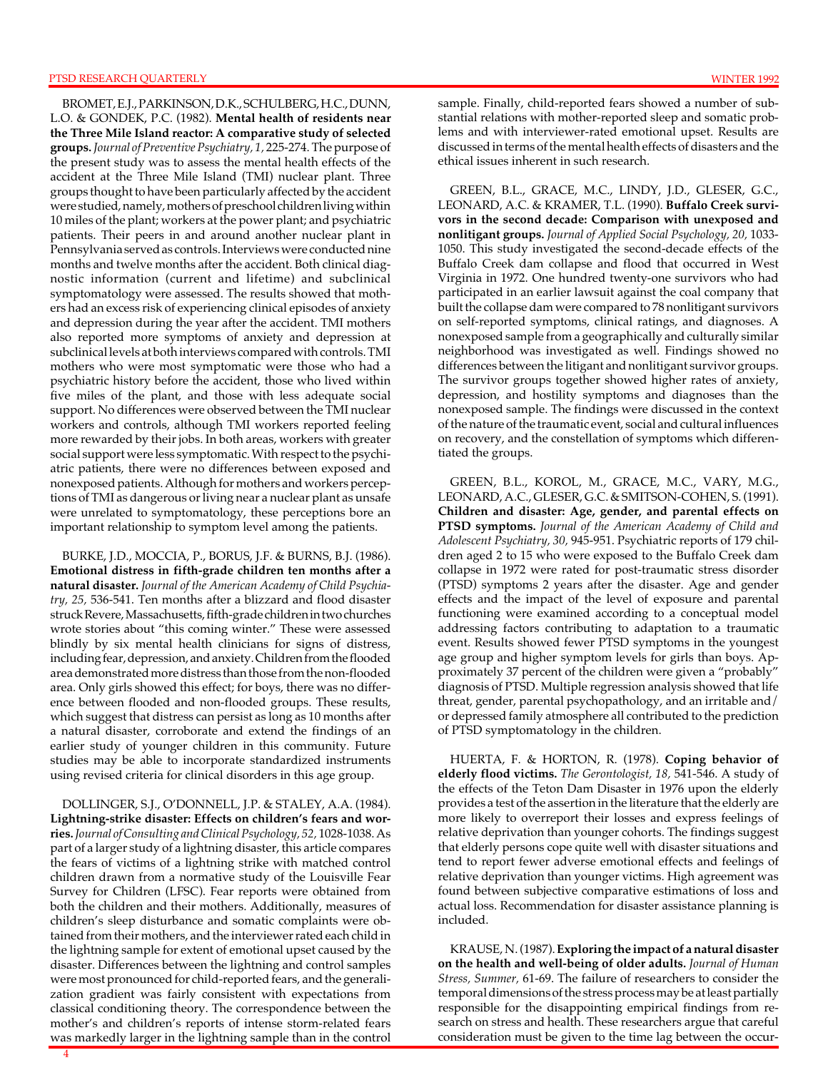BROMET, E.J., PARKINSON, D.K., SCHULBERG, H.C., DUNN, L.O. & GONDEK, P.C. (1982). **Mental health of residents near the Three Mile Island reactor: A comparative study of selected groups.** *Journal of Preventive Psychiatry, 1,* 225-274. The purpose of the present study was to assess the mental health effects of the accident at the Three Mile Island (TMI) nuclear plant. Three groups thought to have been particularly affected by the accident were studied, namely, mothers of preschool children living within 10 miles of the plant; workers at the power plant; and psychiatric patients. Their peers in and around another nuclear plant in Pennsylvania served as controls. Interviews were conducted nine months and twelve months after the accident. Both clinical diagnostic information (current and lifetime) and subclinical symptomatology were assessed. The results showed that mothers had an excess risk of experiencing clinical episodes of anxiety and depression during the year after the accident. TMI mothers also reported more symptoms of anxiety and depression at subclinical levels at both interviews compared with controls. TMI mothers who were most symptomatic were those who had a psychiatric history before the accident, those who lived within five miles of the plant, and those with less adequate social support. No differences were observed between the TMI nuclear workers and controls, although TMI workers reported feeling more rewarded by their jobs. In both areas, workers with greater social support were less symptomatic. With respect to the psychiatric patients, there were no differences between exposed and nonexposed patients. Although for mothers and workers perceptions of TMI as dangerous or living near a nuclear plant as unsafe were unrelated to symptomatology, these perceptions bore an important relationship to symptom level among the patients.

BURKE, J.D., MOCCIA, P., BORUS, J.F. & BURNS, B.J. (1986). **Emotional distress in fifth-grade children ten months after a natural disaster.** *Journal of the American Academy of Child Psychiatry, 25,* 536-541. Ten months after a blizzard and flood disaster struck Revere, Massachusetts, fifth-grade children in two churches wrote stories about "this coming winter." These were assessed blindly by six mental health clinicians for signs of distress, including fear, depression, and anxiety. Children from the flooded area demonstrated more distress than those from the non-flooded area. Only girls showed this effect; for boys, there was no difference between flooded and non-flooded groups. These results, which suggest that distress can persist as long as 10 months after a natural disaster, corroborate and extend the findings of an earlier study of younger children in this community. Future studies may be able to incorporate standardized instruments using revised criteria for clinical disorders in this age group.

DOLLINGER, S.J., O'DONNELL, J.P. & STALEY, A.A. (1984). **Lightning-strike disaster: Effects on children's fears and worries.** *Journal of Consulting and Clinical Psychology, 52,* 1028-1038. As part of a larger study of a lightning disaster, this article compares the fears of victims of a lightning strike with matched control children drawn from a normative study of the Louisville Fear Survey for Children (LFSC). Fear reports were obtained from both the children and their mothers. Additionally, measures of children's sleep disturbance and somatic complaints were obtained from their mothers, and the interviewer rated each child in the lightning sample for extent of emotional upset caused by the disaster. Differences between the lightning and control samples were most pronounced for child-reported fears, and the generalization gradient was fairly consistent with expectations from classical conditioning theory. The correspondence between the mother's and children's reports of intense storm-related fears was markedly larger in the lightning sample than in the control

sample. Finally, child-reported fears showed a number of substantial relations with mother-reported sleep and somatic problems and with interviewer-rated emotional upset. Results are discussed in terms of the mental health effects of disasters and the ethical issues inherent in such research.

GREEN, B.L., GRACE, M.C., LINDY, J.D., GLESER, G.C., LEONARD, A.C. & KRAMER, T.L. (1990). **Buffalo Creek survivors in the second decade: Comparison with unexposed and nonlitigant groups.** *Journal of Applied Social Psychology, 20,* 1033 1050. This study investigated the second-decade effects of the Buffalo Creek dam collapse and flood that occurred in West Virginia in 1972. One hundred twenty-one survivors who had participated in an earlier lawsuit against the coal company that built the collapse dam were compared to 78 nonlitigant survivors on self-reported symptoms, clinical ratings, and diagnoses. A nonexposed sample from a geographically and culturally similar neighborhood was investigated as well. Findings showed no differences between the litigant and nonlitigant survivor groups. The survivor groups together showed higher rates of anxiety, depression, and hostility symptoms and diagnoses than the nonexposed sample. The findings were discussed in the context of the nature of the traumatic event, social and cultural influences on recovery, and the constellation of symptoms which differentiated the groups.

GREEN, B.L., KOROL, M., GRACE, M.C., VARY, M.G., LEONARD, A.C., GLESER, G.C. & SMITSON-COHEN, S. (1991). **Children and disaster: Age, gender, and parental effects on PTSD symptoms.** *Journal of the American Academy of Child and Adolescent Psychiatry, 30,* 945-951. Psychiatric reports of 179 children aged 2 to 15 who were exposed to the Buffalo Creek dam collapse in 1972 were rated for post-traumatic stress disorder (PTSD) symptoms 2 years after the disaster. Age and gender effects and the impact of the level of exposure and parental functioning were examined according to a conceptual model addressing factors contributing to adaptation to a traumatic event. Results showed fewer PTSD symptoms in the youngest age group and higher symptom levels for girls than boys. Approximately 37 percent of the children were given a "probably" diagnosis of PTSD. Multiple regression analysis showed that life threat, gender, parental psychopathology, and an irritable and/ or depressed family atmosphere all contributed to the prediction of PTSD symptomatology in the children.

HUERTA, F. & HORTON, R. (1978). **Coping behavior of elderly flood victims.** *The Gerontologist, 18,* 541-546. A study of the effects of the Teton Dam Disaster in 1976 upon the elderly provides a test of the assertion in the literature that the elderly are more likely to overreport their losses and express feelings of relative deprivation than younger cohorts. The findings suggest that elderly persons cope quite well with disaster situations and tend to report fewer adverse emotional effects and feelings of relative deprivation than younger victims. High agreement was found between subjective comparative estimations of loss and actual loss. Recommendation for disaster assistance planning is included.

KRAUSE, N. (1987). **Exploring the impact of a natural disaster on the health and well-being of older adults.** *Journal of Human Stress, Summer,* 61-69. The failure of researchers to consider the temporal dimensions of the stress process may be at least partially responsible for the disappointing empirical findings from research on stress and health. These researchers argue that careful consideration must be given to the time lag between the occur-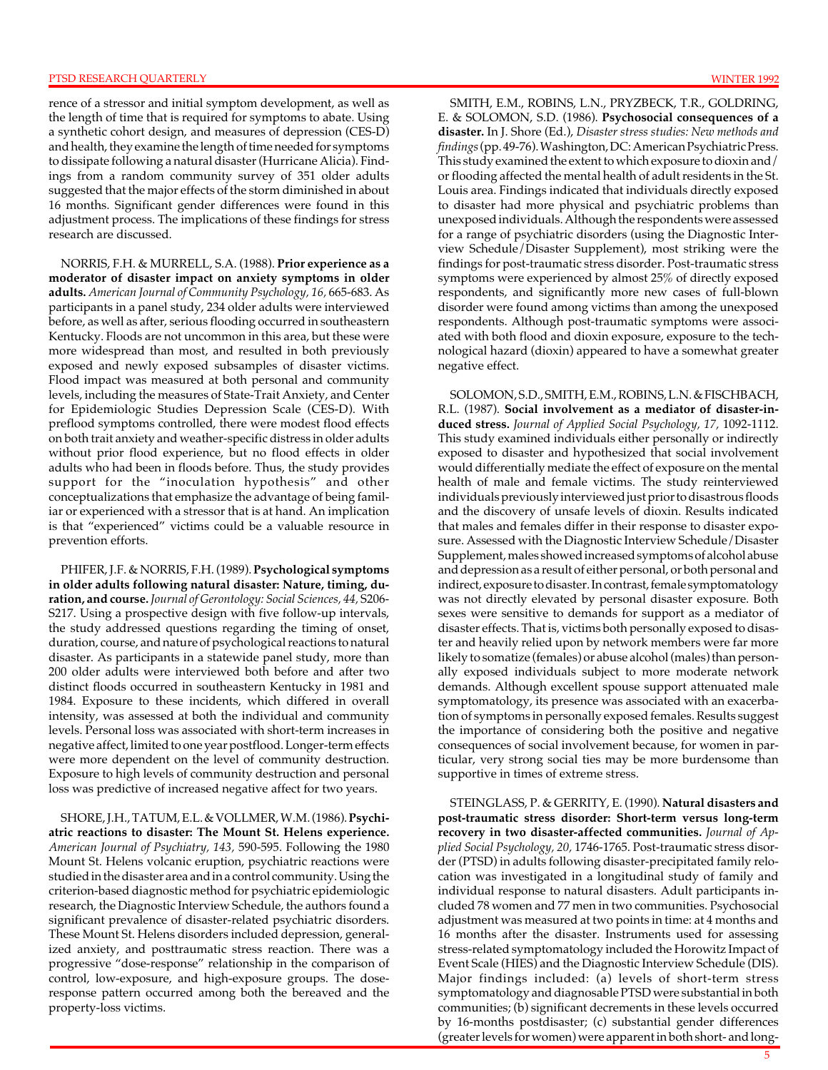rence of a stressor and initial symptom development, as well as the length of time that is required for symptoms to abate. Using a synthetic cohort design, and measures of depression (CES-D) and health, they examine the length of time needed for symptoms to dissipate following a natural disaster (Hurricane Alicia). Findings from a random community survey of 351 older adults suggested that the major effects of the storm diminished in about 16 months. Significant gender differences were found in this adjustment process. The implications of these findings for stress research are discussed.

NORRIS, F.H. & MURRELL, S.A. (1988). **Prior experience as a moderator of disaster impact on anxiety symptoms in older adults.** *American Journal of Community Psychology, 16,* 665-683. As participants in a panel study, 234 older adults were interviewed before, as well as after, serious flooding occurred in southeastern Kentucky. Floods are not uncommon in this area, but these were more widespread than most, and resulted in both previously exposed and newly exposed subsamples of disaster victims. Flood impact was measured at both personal and community levels, including the measures of State-Trait Anxiety, and Center for Epidemiologic Studies Depression Scale (CES-D). With preflood symptoms controlled, there were modest flood effects on both trait anxiety and weather-specific distress in older adults without prior flood experience, but no flood effects in older adults who had been in floods before. Thus, the study provides support for the "inoculation hypothesis" and other conceptualizations that emphasize the advantage of being familiar or experienced with a stressor that is at hand. An implication is that "experienced" victims could be a valuable resource in prevention efforts.

PHIFER, J.F. & NORRIS, F.H. (1989). **Psychological symptoms in older adults following natural disaster: Nature, timing, duration, and course.** *Journal of Gerontology: Social Sciences, 44,* S206 S217. Using a prospective design with five follow-up intervals, the study addressed questions regarding the timing of onset, duration, course, and nature of psychological reactions to natural disaster. As participants in a statewide panel study, more than 200 older adults were interviewed both before and after two distinct floods occurred in southeastern Kentucky in 1981 and 1984. Exposure to these incidents, which differed in overall intensity, was assessed at both the individual and community levels. Personal loss was associated with short-term increases in negative affect, limited to one year postflood. Longer-term effects were more dependent on the level of community destruction. Exposure to high levels of community destruction and personal loss was predictive of increased negative affect for two years.

SHORE, J.H., TATUM, E.L. & VOLLMER, W.M. (1986). **Psychiatric reactions to disaster: The Mount St. Helens experience.**  *American Journal of Psychiatry, 143,* 590-595. Following the 1980 Mount St. Helens volcanic eruption, psychiatric reactions were studied in the disaster area and in a control community. Using the criterion-based diagnostic method for psychiatric epidemiologic research, the Diagnostic Interview Schedule, the authors found a significant prevalence of disaster-related psychiatric disorders. These Mount St. Helens disorders included depression, generalized anxiety, and posttraumatic stress reaction. There was a progressive "dose-response" relationship in the comparison of control, low-exposure, and high-exposure groups. The doseresponse pattern occurred among both the bereaved and the property-loss victims.

SMITH, E.M., ROBINS, L.N., PRYZBECK, T.R., GOLDRING, E. & SOLOMON, S.D. (1986). **Psychosocial consequences of a disaster.** In J. Shore (Ed.), *Disaster stress studies: New methods and findings* (pp. 49-76). Washington, DC: American Psychiatric Press. This study examined the extent to which exposure to dioxin and/ or flooding affected the mental health of adult residents in the St. Louis area. Findings indicated that individuals directly exposed to disaster had more physical and psychiatric problems than unexposed individuals. Although the respondents were assessed for a range of psychiatric disorders (using the Diagnostic Interview Schedule/Disaster Supplement), most striking were the findings for post-traumatic stress disorder. Post-traumatic stress symptoms were experienced by almost 25% of directly exposed respondents, and significantly more new cases of full-blown disorder were found among victims than among the unexposed respondents. Although post-traumatic symptoms were associated with both flood and dioxin exposure, exposure to the technological hazard (dioxin) appeared to have a somewhat greater negative effect.

SOLOMON, S.D., SMITH, E.M., ROBINS, L.N. & FISCHBACH, R.L. (1987). **Social involvement as a mediator of disaster-induced stress.** *Journal of Applied Social Psychology, 17,* 1092-1112. This study examined individuals either personally or indirectly exposed to disaster and hypothesized that social involvement would differentially mediate the effect of exposure on the mental health of male and female victims. The study reinterviewed individuals previously interviewed just prior to disastrous floods and the discovery of unsafe levels of dioxin. Results indicated that males and females differ in their response to disaster exposure. Assessed with the Diagnostic Interview Schedule/Disaster Supplement, males showed increased symptoms of alcohol abuse and depression as a result of either personal, or both personal and indirect, exposure to disaster. In contrast, female symptomatology was not directly elevated by personal disaster exposure. Both sexes were sensitive to demands for support as a mediator of disaster effects. That is, victims both personally exposed to disaster and heavily relied upon by network members were far more likely to somatize (females) or abuse alcohol (males) than personally exposed individuals subject to more moderate network demands. Although excellent spouse support attenuated male symptomatology, its presence was associated with an exacerbation of symptoms in personally exposed females. Results suggest the importance of considering both the positive and negative consequences of social involvement because, for women in particular, very strong social ties may be more burdensome than supportive in times of extreme stress.

STEINGLASS, P. & GERRITY, E. (1990). **Natural disasters and post-traumatic stress disorder: Short-term versus long-term recovery in two disaster-affected communities.** *Journal of Applied Social Psychology, 20,* 1746-1765. Post-traumatic stress disorder (PTSD) in adults following disaster-precipitated family relocation was investigated in a longitudinal study of family and individual response to natural disasters. Adult participants included 78 women and 77 men in two communities. Psychosocial adjustment was measured at two points in time: at 4 months and 16 months after the disaster. Instruments used for assessing stress-related symptomatology included the Horowitz Impact of Event Scale (HIES) and the Diagnostic Interview Schedule (DIS). Major findings included: (a) levels of short-term stress symptomatology and diagnosable PTSD were substantial in both communities; (b) significant decrements in these levels occurred by 16-months postdisaster; (c) substantial gender differences (greater levels for women) were apparent in both short- and long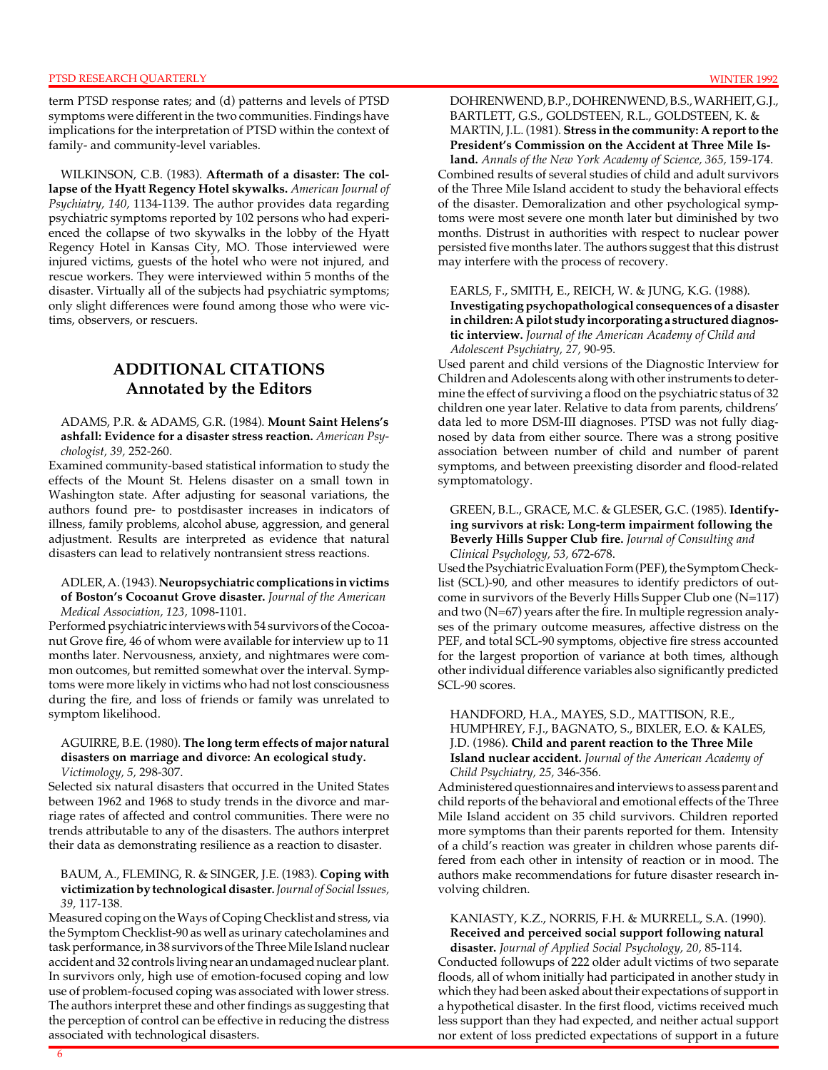term PTSD response rates; and (d) patterns and levels of PTSD symptoms were different in the two communities. Findings have implications for the interpretation of PTSD within the context of family- and community-level variables.

WILKINSON, C.B. (1983). **Aftermath of a disaster: The collapse of the Hyatt Regency Hotel skywalks.** *American Journal of Psychiatry, 140,* 1134-1139. The author provides data regarding psychiatric symptoms reported by 102 persons who had experienced the collapse of two skywalks in the lobby of the Hyatt Regency Hotel in Kansas City, MO. Those interviewed were injured victims, guests of the hotel who were not injured, and rescue workers. They were interviewed within 5 months of the disaster. Virtually all of the subjects had psychiatric symptoms; only slight differences were found among those who were victims, observers, or rescuers.

# **ADDITIONAL CITATIONS Annotated by the Editors**

#### ADAMS, P.R. & ADAMS, G.R. (1984). **Mount Saint Helens's ashfall: Evidence for a disaster stress reaction.** *American Psychologist, 39,* 252-260.

Examined community-based statistical information to study the effects of the Mount St. Helens disaster on a small town in Washington state. After adjusting for seasonal variations, the authors found pre- to postdisaster increases in indicators of illness, family problems, alcohol abuse, aggression, and general adjustment. Results are interpreted as evidence that natural disasters can lead to relatively nontransient stress reactions.

### ADLER, A. (1943). **Neuropsychiatric complications in victims of Boston's Cocoanut Grove disaster.** *Journal of the American*

*Medical Association, 123,* 1098-1101.

Performed psychiatric interviews with 54 survivors of the Cocoanut Grove fire, 46 of whom were available for interview up to 11 months later. Nervousness, anxiety, and nightmares were common outcomes, but remitted somewhat over the interval. Symptoms were more likely in victims who had not lost consciousness during the fire, and loss of friends or family was unrelated to symptom likelihood.

#### AGUIRRE, B.E. (1980). **The long term effects of major natural disasters on marriage and divorce: An ecological study.**  *Victimology, 5,* 298-307.

Selected six natural disasters that occurred in the United States between 1962 and 1968 to study trends in the divorce and marriage rates of affected and control communities. There were no trends attributable to any of the disasters. The authors interpret their data as demonstrating resilience as a reaction to disaster.

#### BAUM, A., FLEMING, R. & SINGER, J.E. (1983). **Coping with victimization by technological disaster.** *Journal of Social Issues, 39,* 117-138.

Measured coping on the Ways of Coping Checklist and stress, via the Symptom Checklist-90 as well as urinary catecholamines and task performance, in 38 survivors of the Three Mile Island nuclear accident and 32 controls living near an undamaged nuclear plant. In survivors only, high use of emotion-focused coping and low use of problem-focused coping was associated with lower stress. The authors interpret these and other findings as suggesting that the perception of control can be effective in reducing the distress associated with technological disasters.

#### DOHRENWEND, B.P., DOHRENWEND, B.S., WARHEIT, G.J., BARTLETT, G.S., GOLDSTEEN, R.L., GOLDSTEEN, K. & MARTIN, J.L. (1981). **Stress in the community: A report to the President's Commission on the Accident at Three Mile Island.** *Annals of the New York Academy of Science, 365,* 159-174.

Combined results of several studies of child and adult survivors of the Three Mile Island accident to study the behavioral effects of the disaster. Demoralization and other psychological symptoms were most severe one month later but diminished by two months. Distrust in authorities with respect to nuclear power persisted five months later. The authors suggest that this distrust may interfere with the process of recovery.

### EARLS, F., SMITH, E., REICH, W. & JUNG, K.G. (1988). **Investigating psychopathological consequences of a disaster in children: A pilot study incorporating a structured diagnostic interview.** *Journal of the American Academy of Child and Adolescent Psychiatry, 27,* 90-95.

Used parent and child versions of the Diagnostic Interview for Children and Adolescents along with other instruments to determine the effect of surviving a flood on the psychiatric status of 32 children one year later. Relative to data from parents, childrens' data led to more DSM-III diagnoses. PTSD was not fully diagnosed by data from either source. There was a strong positive association between number of child and number of parent symptoms, and between preexisting disorder and flood-related symptomatology.

### GREEN, B.L., GRACE, M.C. & GLESER, G.C. (1985). **Identifying survivors at risk: Long-term impairment following the Beverly Hills Supper Club fire.** *Journal of Consulting and Clinical Psychology, 53,* 672-678.

Used the Psychiatric Evaluation Form (PEF), the Symptom Checklist (SCL)-90, and other measures to identify predictors of outcome in survivors of the Beverly Hills Supper Club one (N=117) and two (N=67) years after the fire. In multiple regression analyses of the primary outcome measures, affective distress on the PEF, and total SCL-90 symptoms, objective fire stress accounted for the largest proportion of variance at both times, although other individual difference variables also significantly predicted SCL-90 scores.

#### HANDFORD, H.A., MAYES, S.D., MATTISON, R.E., HUMPHREY, F.J., BAGNATO, S., BIXLER, E.O. & KALES, J.D. (1986). **Child and parent reaction to the Three Mile Island nuclear accident.** *Journal of the American Academy of Child Psychiatry, 25,* 346-356.

Administered questionnaires and interviews to assess parent and child reports of the behavioral and emotional effects of the Three Mile Island accident on 35 child survivors. Children reported more symptoms than their parents reported for them. Intensity of a child's reaction was greater in children whose parents differed from each other in intensity of reaction or in mood. The authors make recommendations for future disaster research involving children.

#### KANIASTY, K.Z., NORRIS, F.H. & MURRELL, S.A. (1990). **Received and perceived social support following natural disaster.** *Journal of Applied Social Psychology, 20,* 85-114.

Conducted followups of 222 older adult victims of two separate floods, all of whom initially had participated in another study in which they had been asked about their expectations of support in a hypothetical disaster. In the first flood, victims received much less support than they had expected, and neither actual support nor extent of loss predicted expectations of support in a future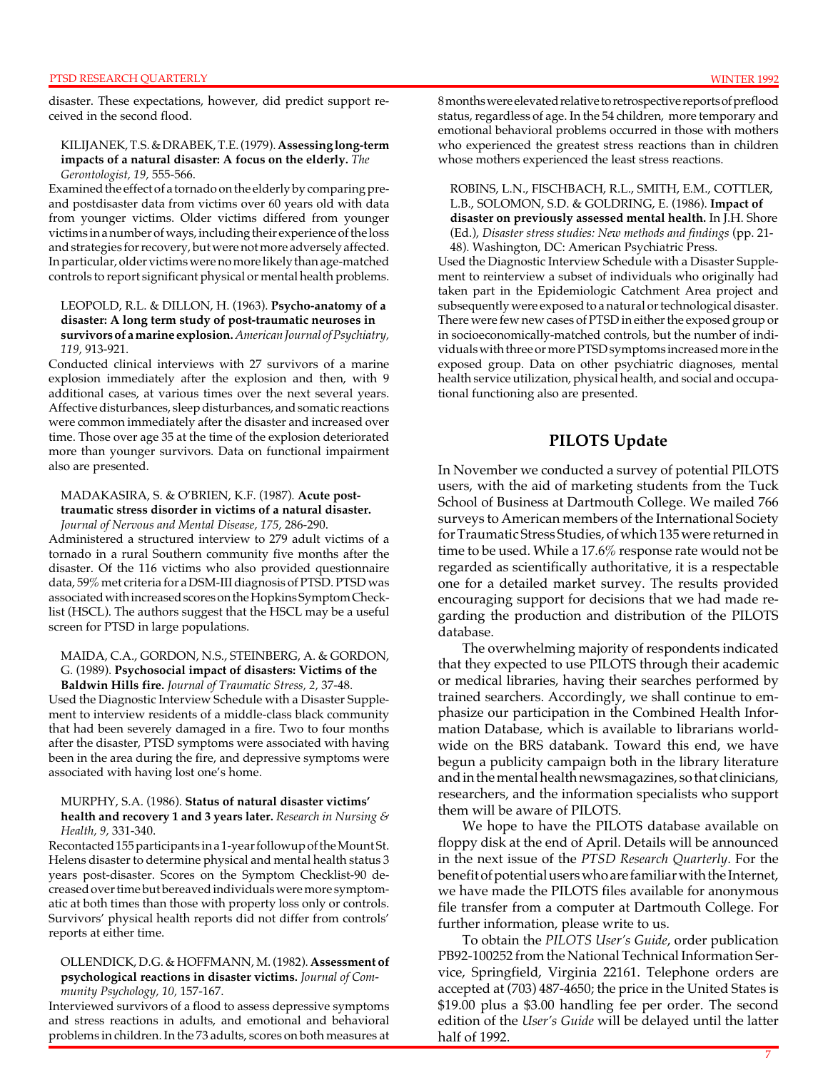7

disaster. These expectations, however, did predict support received in the second flood.

#### KILIJANEK, T.S. & DRABEK, T.E. (1979). **Assessing long-term impacts of a natural disaster: A focus on the elderly.** *The Gerontologist, 19,* 555-566.

Examined the effect of a tornado on the elderly by comparing preand postdisaster data from victims over 60 years old with data from younger victims. Older victims differed from younger victims in a number of ways, including their experience of the loss and strategies for recovery, but were not more adversely affected. In particular, older victims were no more likely than age-matched controls to report significant physical or mental health problems.

#### LEOPOLD, R.L. & DILLON, H. (1963). **Psycho-anatomy of a disaster: A long term study of post-traumatic neuroses in survivors of a marine explosion.** *American Journal of Psychiatry, 119,* 913-921.

Conducted clinical interviews with 27 survivors of a marine explosion immediately after the explosion and then, with 9 additional cases, at various times over the next several years. Affective disturbances, sleep disturbances, and somatic reactions were common immediately after the disaster and increased over time. Those over age 35 at the time of the explosion deteriorated more than younger survivors. Data on functional impairment also are presented.

#### MADAKASIRA, S. & O'BRIEN, K.F. (1987). **Acute posttraumatic stress disorder in victims of a natural disaster.**  *Journal of Nervous and Mental Disease, 175,* 286-290.

Administered a structured interview to 279 adult victims of a tornado in a rural Southern community five months after the disaster. Of the 116 victims who also provided questionnaire data, 59% met criteria for a DSM-III diagnosis of PTSD. PTSD was associated with increased scores on the Hopkins Symptom Checklist (HSCL). The authors suggest that the HSCL may be a useful screen for PTSD in large populations.

## MAIDA, C.A., GORDON, N.S., STEINBERG, A. & GORDON, G. (1989). **Psychosocial impact of disasters: Victims of the**

**Baldwin Hills fire.** *Journal of Traumatic Stress, 2,* 37-48. Used the Diagnostic Interview Schedule with a Disaster Supplement to interview residents of a middle-class black community that had been severely damaged in a fire. Two to four months after the disaster, PTSD symptoms were associated with having been in the area during the fire, and depressive symptoms were associated with having lost one's home.

#### MURPHY, S.A. (1986). **Status of natural disaster victims' health and recovery 1 and 3 years later.** *Research in Nursing & Health, 9,* 331-340.

Recontacted 155 participants in a 1-year followup of the Mount St. Helens disaster to determine physical and mental health status 3 years post-disaster. Scores on the Symptom Checklist-90 decreased over time but bereaved individuals were more symptomatic at both times than those with property loss only or controls. Survivors' physical health reports did not differ from controls' reports at either time.

OLLENDICK, D.G. & HOFFMANN, M. (1982). **Assessment of psychological reactions in disaster victims.** *Journal of Community Psychology, 10,* 157-167.

Interviewed survivors of a flood to assess depressive symptoms and stress reactions in adults, and emotional and behavioral problems in children. In the 73 adults, scores on both measures at

8 months were elevated relative to retrospective reports of preflood status, regardless of age. In the 54 children, more temporary and emotional behavioral problems occurred in those with mothers who experienced the greatest stress reactions than in children whose mothers experienced the least stress reactions.

ROBINS, L.N., FISCHBACH, R.L., SMITH, E.M., COTTLER, L.B., SOLOMON, S.D. & GOLDRING, E. (1986). **Impact of disaster on previously assessed mental health.** In J.H. Shore (Ed.), *Disaster stress studies: New methods and findings* (pp. 21 48). Washington, DC: American Psychiatric Press.

Used the Diagnostic Interview Schedule with a Disaster Supplement to reinterview a subset of individuals who originally had taken part in the Epidemiologic Catchment Area project and subsequently were exposed to a natural or technological disaster. There were few new cases of PTSD in either the exposed group or in socioeconomically-matched controls, but the number of individuals with three or more PTSD symptoms increased more in the exposed group. Data on other psychiatric diagnoses, mental health service utilization, physical health, and social and occupational functioning also are presented.

**PILOTS Update** 

In November we conducted a survey of potential PILOTS users, with the aid of marketing students from the Tuck School of Business at Dartmouth College. We mailed 766 surveys to American members of the International Society for Traumatic Stress Studies, of which 135 were returned in time to be used. While a 17.6% response rate would not be regarded as scientifically authoritative, it is a respectable one for a detailed market survey. The results provided encouraging support for decisions that we had made regarding the production and distribution of the PILOTS database.

The overwhelming majority of respondents indicated that they expected to use PILOTS through their academic or medical libraries, having their searches performed by trained searchers. Accordingly, we shall continue to emphasize our participation in the Combined Health Information Database, which is available to librarians worldwide on the BRS databank. Toward this end, we have begun a publicity campaign both in the library literature and in the mental health newsmagazines, so that clinicians, researchers, and the information specialists who support them will be aware of PILOTS.

We hope to have the PILOTS database available on floppy disk at the end of April. Details will be announced in the next issue of the *PTSD Research Quarterly*. For the benefit of potential users who are familiar with the Internet, we have made the PILOTS files available for anonymous file transfer from a computer at Dartmouth College. For further information, please write to us.

To obtain the *PILOTS User's Guide*, order publication PB92-100252 from the National Technical Information Service, Springfield, Virginia 22161. Telephone orders are accepted at (703) 487-4650; the price in the United States is \$19.00 plus a \$3.00 handling fee per order. The second edition of the *User's Guide* will be delayed until the latter half of 1992.